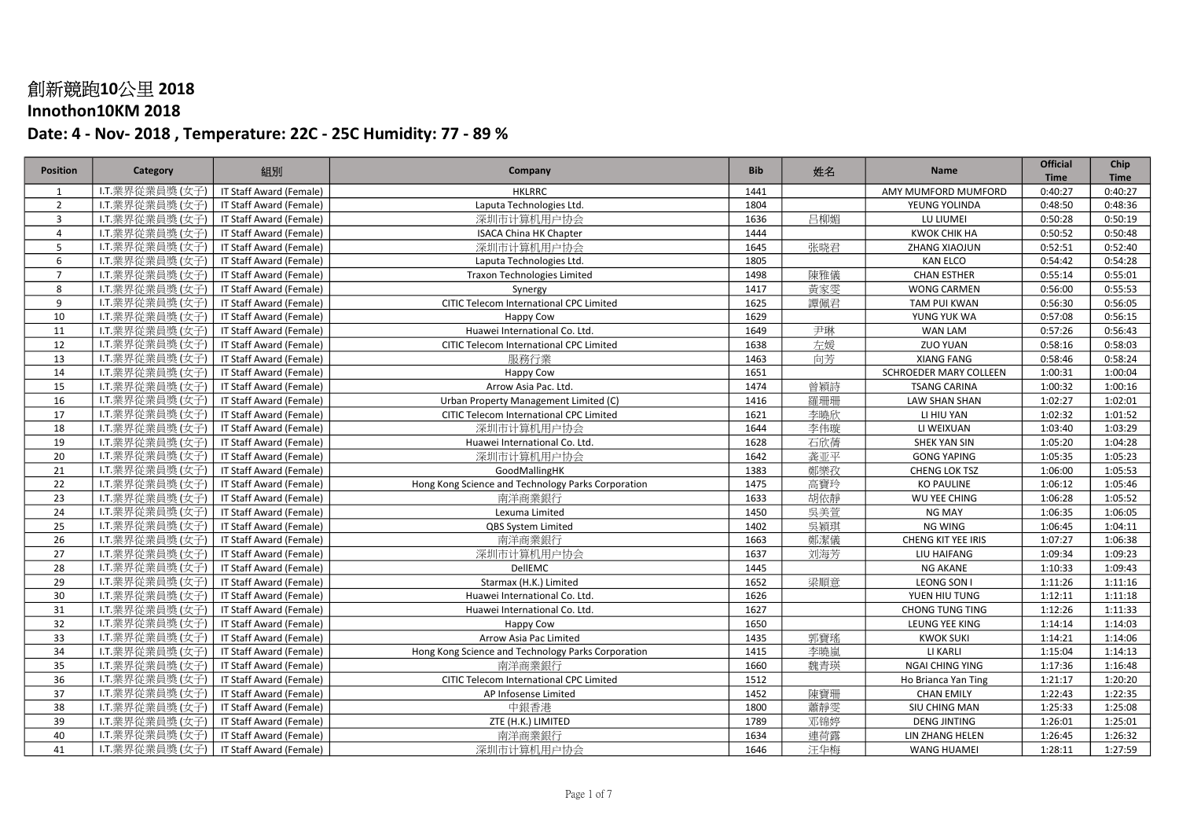## Innothon10KM 2018

| <b>Position</b> | Category        | 組別                             | Company                                            | <b>Bib</b> | 姓名  | <b>Name</b>            | <b>Official</b> | Chip        |
|-----------------|-----------------|--------------------------------|----------------------------------------------------|------------|-----|------------------------|-----------------|-------------|
|                 |                 |                                |                                                    |            |     |                        | <b>Time</b>     | <b>Time</b> |
| 1               | I.T.業界從業員獎(女子)  | IT Staff Award (Female)        | <b>HKLRRC</b>                                      | 1441       |     | AMY MUMFORD MUMFORD    | 0:40:27         | 0:40:27     |
| $\overline{2}$  | I.T.業界從業員獎(女子)  | IT Staff Award (Female)        | Laputa Technologies Ltd.                           | 1804       |     | YEUNG YOLINDA          | 0:48:50         | 0:48:36     |
| $\overline{3}$  | I.T.業界從業員獎(女子)  | IT Staff Award (Female)        | 深圳市计算机用户协会                                         | 1636       | 吕柳媚 | LU LIUMEI              | 0:50:28         | 0:50:19     |
| $\overline{4}$  | I.T.業界從業員獎(女子)  | IT Staff Award (Female)        | <b>ISACA China HK Chapter</b>                      | 1444       |     | <b>KWOK CHIK HA</b>    | 0:50:52         | 0:50:48     |
| 5               | I.T.業界從業員獎(女子)  | IT Staff Award (Female)        | 深圳市计算机用户协会                                         | 1645       | 张晓君 | ZHANG XIAOJUN          | 0:52:51         | 0:52:40     |
| 6               | I.T.業界從業員獎(女子)  | IT Staff Award (Female)        | Laputa Technologies Ltd.                           | 1805       |     | <b>KAN ELCO</b>        | 0:54:42         | 0:54:28     |
| $\overline{7}$  | I.T.業界從業員獎(女子)  | IT Staff Award (Female)        | <b>Traxon Technologies Limited</b>                 | 1498       | 陳雅儀 | <b>CHAN ESTHER</b>     | 0:55:14         | 0:55:01     |
| 8               | I.T.業界從業員獎(女子)  | IT Staff Award (Female)        | Synergy                                            | 1417       | 黃家雯 | <b>WONG CARMEN</b>     | 0:56:00         | 0:55:53     |
| 9               | I.T.業界從業員獎(女子)  | IT Staff Award (Female)        | CITIC Telecom International CPC Limited            | 1625       | 譚佩君 | <b>TAM PUI KWAN</b>    | 0:56:30         | 0:56:05     |
| 10              | I.T.業界從業員獎(女子)  | IT Staff Award (Female)        | <b>Happy Cow</b>                                   | 1629       |     | YUNG YUK WA            | 0:57:08         | 0:56:15     |
| 11              | I.T.業界從業員獎(女子)  | IT Staff Award (Female)        | Huawei International Co. Ltd.                      | 1649       | 尹琳  | <b>WAN LAM</b>         | 0:57:26         | 0:56:43     |
| 12              | I.T.業界從業員獎(女子)  | IT Staff Award (Female)        | CITIC Telecom International CPC Limited            | 1638       | 左媛  | ZUO YUAN               | 0:58:16         | 0:58:03     |
| 13              | I.T.業界從業員獎(女子)  | IT Staff Award (Female)        | 服務行業                                               | 1463       | 向芳  | <b>XIANG FANG</b>      | 0:58:46         | 0:58:24     |
| 14              | I.T.業界從業員獎(女子)  | IT Staff Award (Female)        | Happy Cow                                          | 1651       |     | SCHROEDER MARY COLLEEN | 1:00:31         | 1:00:04     |
| 15              | I.T.業界從業員獎(女子)  | IT Staff Award (Female)        | Arrow Asia Pac. Ltd.                               | 1474       | 曾穎詩 | <b>TSANG CARINA</b>    | 1:00:32         | 1:00:16     |
| 16              | I.T.業界從業員獎(女子)  | IT Staff Award (Female)        | Urban Property Management Limited (C)              | 1416       | 羅珊珊 | LAW SHAN SHAN          | 1:02:27         | 1:02:01     |
| 17              | LT.業界從業員獎(女子)   | <b>IT Staff Award (Female)</b> | CITIC Telecom International CPC Limited            | 1621       | 李曉欣 | LI HIU YAN             | 1:02:32         | 1:01:52     |
| 18              | I.T.業界從業員獎(女子)  | IT Staff Award (Female)        | 深圳市计算机用户协会                                         | 1644       | 李伟璇 | LI WEIXUAN             | 1:03:40         | 1:03:29     |
| 19              | I.T.業界從業員獎 (女子) | IT Staff Award (Female)        | Huawei International Co. Ltd.                      | 1628       | 石欣蒨 | SHEK YAN SIN           | 1:05:20         | 1:04:28     |
| 20              | I.T.業界從業員獎(女子)  | IT Staff Award (Female)        | 深圳市计算机用户协会                                         | 1642       | 龚亚平 | <b>GONG YAPING</b>     | 1:05:35         | 1:05:23     |
| 21              | I.T.業界從業員獎(女子)  | IT Staff Award (Female)        | GoodMallingHK                                      | 1383       | 鄭樂孜 | <b>CHENG LOK TSZ</b>   | 1:06:00         | 1:05:53     |
| 22              | I.T.業界從業員獎(女子)  | IT Staff Award (Female)        | Hong Kong Science and Technology Parks Corporation | 1475       | 高寶玲 | <b>KO PAULINE</b>      | 1:06:12         | 1:05:46     |
| 23              | I.T.業界從業員獎(女子)  | IT Staff Award (Female)        | 南洋商業銀行                                             | 1633       | 胡依靜 | WU YEE CHING           | 1:06:28         | 1:05:52     |
| 24              | I.T.業界從業員獎(女子)  | IT Staff Award (Female)        | Lexuma Limited                                     | 1450       | 吳美萱 | NG MAY                 | 1:06:35         | 1:06:05     |
| 25              | LT.業界從業員獎(女子)   | IT Staff Award (Female)        | QBS System Limited                                 | 1402       | 吳穎琪 | NG WING                | 1:06:45         | 1:04:11     |
| 26              | I.T.業界從業員獎(女子)  | IT Staff Award (Female)        | 南洋商業銀行                                             | 1663       | 鄭潔儀 | CHENG KIT YEE IRIS     | 1:07:27         | 1:06:38     |
| 27              | I.T.業界從業員獎(女子)  | IT Staff Award (Female)        | 深圳市计算机用户协会                                         | 1637       | 刘海芳 | LIU HAIFANG            | 1:09:34         | 1:09:23     |
| 28              | I.T.業界從業員獎(女子)  | IT Staff Award (Female)        | DellEMC                                            | 1445       |     | NG AKANE               | 1:10:33         | 1:09:43     |
| 29              | I.T.業界從業員獎(女子)  | IT Staff Award (Female)        | Starmax (H.K.) Limited                             | 1652       | 梁順意 | LEONG SON I            | 1:11:26         | 1:11:16     |
| 30              | I.T.業界從業員獎(女子)  | IT Staff Award (Female)        | Huawei International Co. Ltd.                      | 1626       |     | YUEN HIU TUNG          | 1:12:11         | 1:11:18     |
| 31              | I.T.業界從業員獎(女子)  | IT Staff Award (Female)        | Huawei International Co. Ltd.                      | 1627       |     | CHONG TUNG TING        | 1:12:26         | 1:11:33     |
| 32              | I.T.業界從業員獎(女子)  | IT Staff Award (Female)        | Happy Cow                                          | 1650       |     | LEUNG YEE KING         | 1:14:14         | 1:14:03     |
| 33              | LT.業界從業員獎(女子)   | IT Staff Award (Female)        | Arrow Asia Pac Limited                             | 1435       | 郭寶瑤 | <b>KWOK SUKI</b>       | 1:14:21         | 1:14:06     |
| 34              | I.T.業界從業員獎 (女子) | IT Staff Award (Female)        | Hong Kong Science and Technology Parks Corporation | 1415       | 李曉嵐 | LI KARLI               | 1:15:04         | 1:14:13     |
| 35              | I.T.業界從業員獎(女子)  | IT Staff Award (Female)        | 南洋商業銀行                                             | 1660       | 魏青瑛 | NGAI CHING YING        | 1:17:36         | 1:16:48     |
| 36              | I.T.業界從業員獎(女子)  | IT Staff Award (Female)        | CITIC Telecom International CPC Limited            | 1512       |     | Ho Brianca Yan Ting    | 1:21:17         | 1:20:20     |
| 37              | I.T.業界從業員獎(女子)  | IT Staff Award (Female)        | AP Infosense Limited                               | 1452       | 陳寶珊 | <b>CHAN EMILY</b>      | 1:22:43         | 1:22:35     |
| 38              | I.T.業界從業員獎(女子)  | IT Staff Award (Female)        | 中銀香港                                               | 1800       | 蕭靜雯 | SIU CHING MAN          | 1:25:33         | 1:25:08     |
| 39              | I.T.業界從業員獎(女子)  | IT Staff Award (Female)        | ZTE (H.K.) LIMITED                                 | 1789       | 邓锦婷 | <b>DENG JINTING</b>    | 1:26:01         | 1:25:01     |
| 40              | I.T.業界從業員獎(女子)  | IT Staff Award (Female)        | 南洋商業銀行                                             | 1634       | 連荷露 | LIN ZHANG HELEN        | 1:26:45         | 1:26:32     |
| 41              | I.T.業界從業員獎(女子)  | IT Staff Award (Female)        | 深圳市计算机用户协会                                         | 1646       | 汪华梅 | <b>WANG HUAMEI</b>     | 1:28:11         | 1:27:59     |
|                 |                 |                                |                                                    |            |     |                        |                 |             |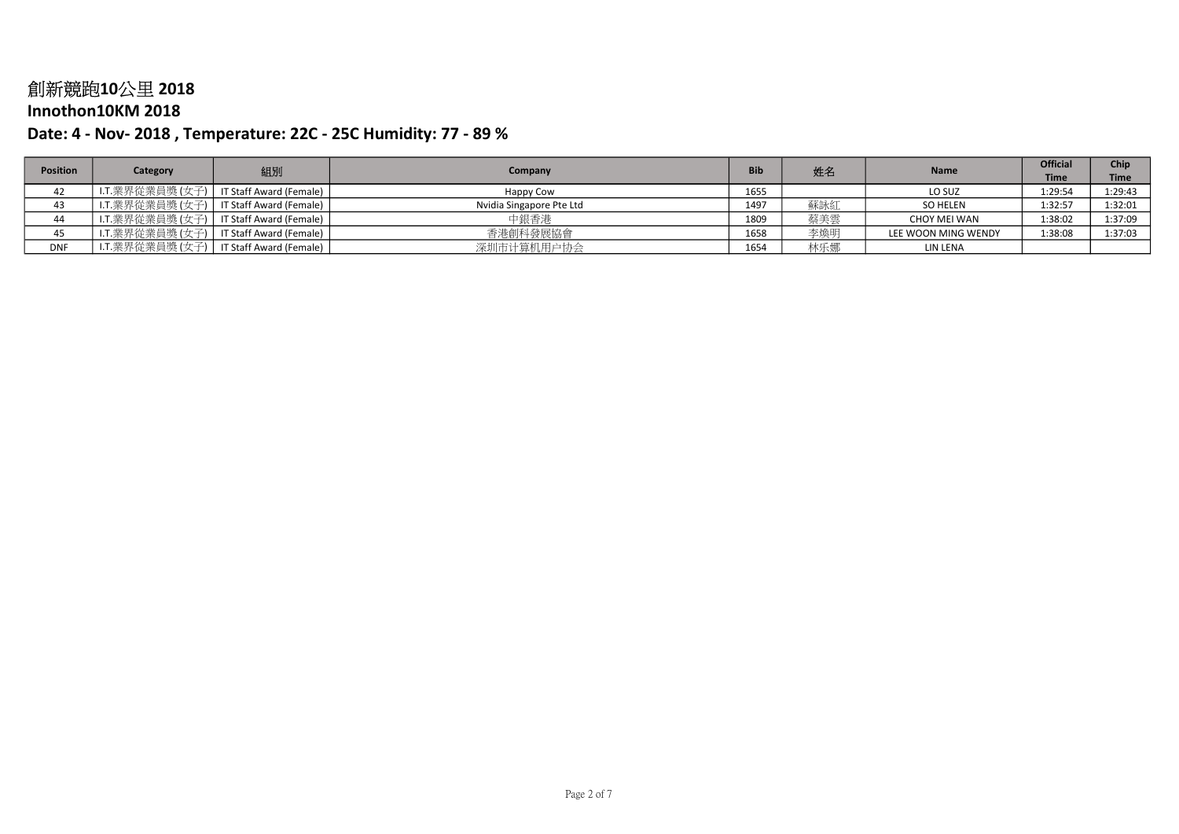### Innothon10KM 2018

| <b>Position</b> |                 |                         |                          | <b>Bib</b> | 姓名  | <b>Name</b>         | <b>Official</b> | Chip        |
|-----------------|-----------------|-------------------------|--------------------------|------------|-----|---------------------|-----------------|-------------|
|                 | Category        | 組別                      | Company                  |            |     |                     | <b>Time</b>     | <b>Time</b> |
| 42              | I.T.業界從業員獎(女子)  | IT Staff Award (Female) | Happy Cow                | 1655       |     | LO SUZ              | 1:29:54         | 1:29:43     |
| 43              | I.T.業界從業員獎 (女子) | IT Staff Award (Female) | Nvidia Singapore Pte Ltd | 1497       | 蘇詠紅 | SO HELEN            | 1:32:57         | 1:32:01     |
| 44              | LT.業界從業員獎(女子)│  | IT Staff Award (Female) | 中銀香港                     | 1809       | 蔡美雲 | CHOY MEI WAN        | 1:38:02         | 1:37:09     |
| 45              | I.T.業界從業員獎(女子)  | IT Staff Award (Female) | 香港創科發展協會                 | 1658       | 李煥明 | LEE WOON MING WENDY | 1:38:08         | 1:37:03     |
| <b>DNF</b>      | I.T.業界從業員獎(女子)  | IT Staff Award (Female) | 深圳市计算机用户协会               | 1654       | 林乐娜 | LIN LENA            |                 |             |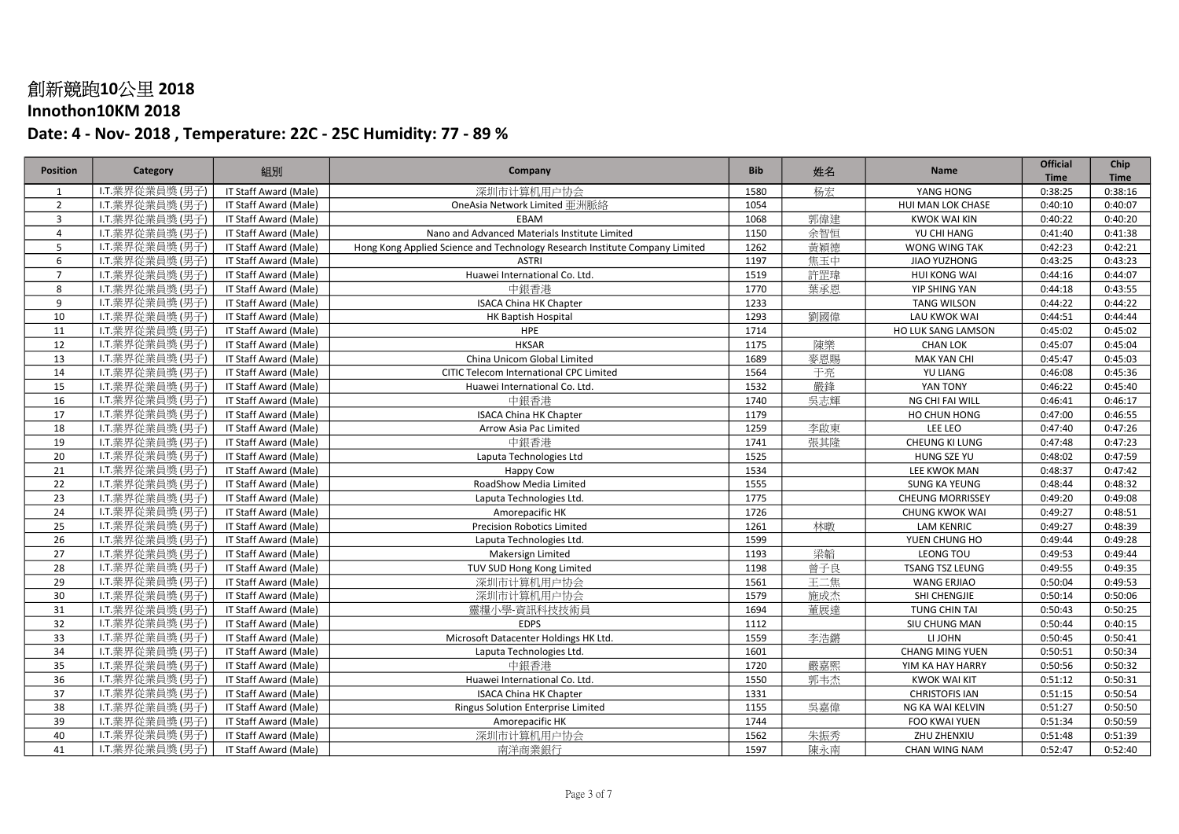## Innothon10KM 2018

| <b>Position</b> | Category        | 組別                           | Company                                                                     | <b>Bib</b> | 姓名  | <b>Name</b>             | <b>Official</b><br><b>Time</b> | Chip<br><b>Time</b> |
|-----------------|-----------------|------------------------------|-----------------------------------------------------------------------------|------------|-----|-------------------------|--------------------------------|---------------------|
| 1               | I.T.業界從業員獎(男子)  | IT Staff Award (Male)        | 深圳市计算机用户协会                                                                  | 1580       | 杨宏  | YANG HONG               | 0:38:25                        | 0:38:16             |
| $\overline{2}$  | I.T.業界從業員獎(男子)  | IT Staff Award (Male)        | OneAsia Network Limited 亜洲脈絡                                                | 1054       |     | HUI MAN LOK CHASE       | 0:40:10                        | 0:40:07             |
| $\overline{3}$  | I.T.業界從業員獎(男子)  | <b>IT Staff Award (Male)</b> | EBAM                                                                        | 1068       | 郭偉建 | <b>KWOK WAI KIN</b>     | 0:40:22                        | 0:40:20             |
| $\overline{4}$  | I.T.業界從業員獎(男子)  | IT Staff Award (Male)        | Nano and Advanced Materials Institute Limited                               | 1150       | 余智恒 | YU CHI HANG             | 0:41:40                        | 0:41:38             |
| 5               | I.T.業界從業員獎 (男子) | IT Staff Award (Male)        | Hong Kong Applied Science and Technology Research Institute Company Limited | 1262       | 黃穎德 | WONG WING TAK           | 0:42:23                        | 0:42:21             |
| 6               | I.T.業界從業員獎(男子)  | IT Staff Award (Male)        | <b>ASTRI</b>                                                                | 1197       | 焦玉中 | JIAO YUZHONG            | 0:43:25                        | 0:43:23             |
| $\overline{7}$  | I.T.業界從業員獎(男子)  | IT Staff Award (Male)        | Huawei International Co. Ltd.                                               | 1519       | 許罡瑋 | <b>HUI KONG WAI</b>     | 0:44:16                        | 0:44:07             |
| 8               | I.T.業界從業員獎(男子)  | IT Staff Award (Male)        | 中銀香港                                                                        | 1770       | 葉承恩 | YIP SHING YAN           | 0:44:18                        | 0:43:55             |
| 9               | I.T.業界從業員獎(男子)  | IT Staff Award (Male)        | <b>ISACA China HK Chapter</b>                                               | 1233       |     | <b>TANG WILSON</b>      | 0:44:22                        | 0:44:22             |
| 10              | I.T.業界從業員獎(男子)  | IT Staff Award (Male)        | <b>HK Baptish Hospital</b>                                                  | 1293       | 劉國偉 | LAU KWOK WAI            | 0:44:51                        | 0:44:44             |
| 11              | I.T.業界從業員獎(男子)  | IT Staff Award (Male)        | <b>HPE</b>                                                                  | 1714       |     | HO LUK SANG LAMSON      | 0:45:02                        | 0:45:02             |
| 12              | I.T.業界從業員獎(男子)  | IT Staff Award (Male)        | <b>HKSAR</b>                                                                | 1175       | 陳樂  | <b>CHAN LOK</b>         | 0:45:07                        | 0:45:04             |
| 13              | I.T.業界從業員獎(男子)  | IT Staff Award (Male)        | China Unicom Global Limited                                                 | 1689       | 麥恩賜 | <b>MAK YAN CHI</b>      | 0:45:47                        | 0:45:03             |
| 14              | I.T.業界從業員獎(男子)  | IT Staff Award (Male)        | CITIC Telecom International CPC Limited                                     | 1564       | 于亮  | <b>YU LIANG</b>         | 0:46:08                        | 0:45:36             |
| 15              | I.T.業界從業員獎(男子)  | IT Staff Award (Male)        | Huawei International Co. Ltd.                                               | 1532       | 嚴鋒  | YAN TONY                | 0:46:22                        | 0:45:40             |
| 16              | I.T.業界從業員獎(男子)  | IT Staff Award (Male)        | 中銀香港                                                                        | 1740       | 吳志輝 | NG CHI FAI WILL         | 0:46:41                        | 0:46:17             |
| 17              | I.T.業界從業員獎(男子)  | IT Staff Award (Male)        | <b>ISACA China HK Chapter</b>                                               | 1179       |     | HO CHUN HONG            | 0:47:00                        | 0:46:55             |
| 18              | I.T.業界從業員獎(男子)  | IT Staff Award (Male)        | Arrow Asia Pac Limited                                                      | 1259       | 李啟東 | LEE LEO                 | 0:47:40                        | 0:47:26             |
| 19              | I.T.業界從業員獎 (男子) | IT Staff Award (Male)        | 中銀香港                                                                        | 1741       | 張其隆 | CHEUNG KI LUNG          | 0:47:48                        | 0:47:23             |
| 20              | I.T.業界從業員獎(男子)  | IT Staff Award (Male)        | Laputa Technologies Ltd                                                     | 1525       |     | HUNG SZE YU             | 0:48:02                        | 0:47:59             |
| 21              | I.T.業界從業員獎(男子)  | IT Staff Award (Male)        | Happy Cow                                                                   | 1534       |     | LEE KWOK MAN            | 0:48:37                        | 0:47:42             |
| 22              | I.T.業界從業員獎(男子)  | IT Staff Award (Male)        | RoadShow Media Limited                                                      | 1555       |     | <b>SUNG KA YEUNG</b>    | 0:48:44                        | 0:48:32             |
| 23              | I.T.業界從業員獎(男子)  | IT Staff Award (Male)        | Laputa Technologies Ltd.                                                    | 1775       |     | <b>CHEUNG MORRISSEY</b> | 0:49:20                        | 0:49:08             |
| 24              | I.T.業界從業員獎(男子)  | IT Staff Award (Male)        | Amorepacific HK                                                             | 1726       |     | <b>CHUNG KWOK WAI</b>   | 0:49:27                        | 0:48:51             |
| 25              | I.T.業界從業員獎(男子)  | IT Staff Award (Male)        | <b>Precision Robotics Limited</b>                                           | 1261       | 林暾  | <b>LAM KENRIC</b>       | 0:49:27                        | 0:48:39             |
| 26              | I.T.業界從業員獎(男子)  | IT Staff Award (Male)        | Laputa Technologies Ltd.                                                    | 1599       |     | YUEN CHUNG HO           | 0:49:44                        | 0:49:28             |
| 27              | I.T.業界從業員獎(男子)  | IT Staff Award (Male)        | Makersign Limited                                                           | 1193       | 梁韜  | LEONG TOU               | 0:49:53                        | 0:49:44             |
| 28              | I.T.業界從業員獎(男子)  | IT Staff Award (Male)        | TUV SUD Hong Kong Limited                                                   | 1198       | 曾子良 | TSANG TSZ LEUNG         | 0:49:55                        | 0:49:35             |
| 29              | I.T.業界從業員獎(男子)  | IT Staff Award (Male)        | 深圳市计算机用户协会                                                                  | 1561       | 王二焦 | <b>WANG ERJIAO</b>      | 0:50:04                        | 0:49:53             |
| 30              | I.T.業界從業員獎(男子)  | IT Staff Award (Male)        | 深圳市计算机用户协会                                                                  | 1579       | 施成杰 | SHI CHENGJIE            | 0:50:14                        | 0:50:06             |
| 31              | I.T.業界從業員獎(男子)  | IT Staff Award (Male)        | 靈糧小學-資訊科技技術員                                                                | 1694       | 董展達 | TUNG CHIN TAI           | 0:50:43                        | 0:50:25             |
| 32              | I.T.業界從業員獎(男子)  | IT Staff Award (Male)        | <b>EDPS</b>                                                                 | 1112       |     | SIU CHUNG MAN           | 0:50:44                        | 0:40:15             |
| 33              | I.T.業界從業員獎(男子)  | IT Staff Award (Male)        | Microsoft Datacenter Holdings HK Ltd.                                       | 1559       | 李浩鏘 | LI JOHN                 | 0:50:45                        | 0:50:41             |
| 34              | I.T.業界從業員獎(男子)  | IT Staff Award (Male)        | Laputa Technologies Ltd.                                                    | 1601       |     | <b>CHANG MING YUEN</b>  | 0:50:51                        | 0:50:34             |
| 35              | I.T.業界從業員獎(男子)  | IT Staff Award (Male)        | 中銀香港                                                                        | 1720       | 嚴嘉熙 | YIM KA HAY HARRY        | 0:50:56                        | 0:50:32             |
| 36              | I.T.業界從業員獎(男子)  | IT Staff Award (Male)        | Huawei International Co. Ltd.                                               | 1550       | 郭韦杰 | <b>KWOK WAI KIT</b>     | 0:51:12                        | 0:50:31             |
| 37              | I.T.業界從業員獎(男子)  | IT Staff Award (Male)        | <b>ISACA China HK Chapter</b>                                               | 1331       |     | <b>CHRISTOFIS IAN</b>   | 0:51:15                        | 0:50:54             |
| 38              | I.T.業界從業員獎(男子)  | IT Staff Award (Male)        | Ringus Solution Enterprise Limited                                          | 1155       | 吳嘉偉 | NG KA WAI KELVIN        | 0:51:27                        | 0:50:50             |
| 39              | I.T.業界從業員獎(男子)  | IT Staff Award (Male)        | Amorepacific HK                                                             | 1744       |     | FOO KWAI YUEN           | 0:51:34                        | 0:50:59             |
| 40              | I.T.業界從業員獎(男子)  | IT Staff Award (Male)        | 深圳市计算机用户协会                                                                  | 1562       | 朱振秀 | ZHU ZHENXIU             | 0:51:48                        | 0:51:39             |
| 41              | I.T.業界從業員獎(男子)  | IT Staff Award (Male)        | 南洋商業銀行                                                                      | 1597       | 陳永南 | CHAN WING NAM           | 0:52:47                        | 0:52:40             |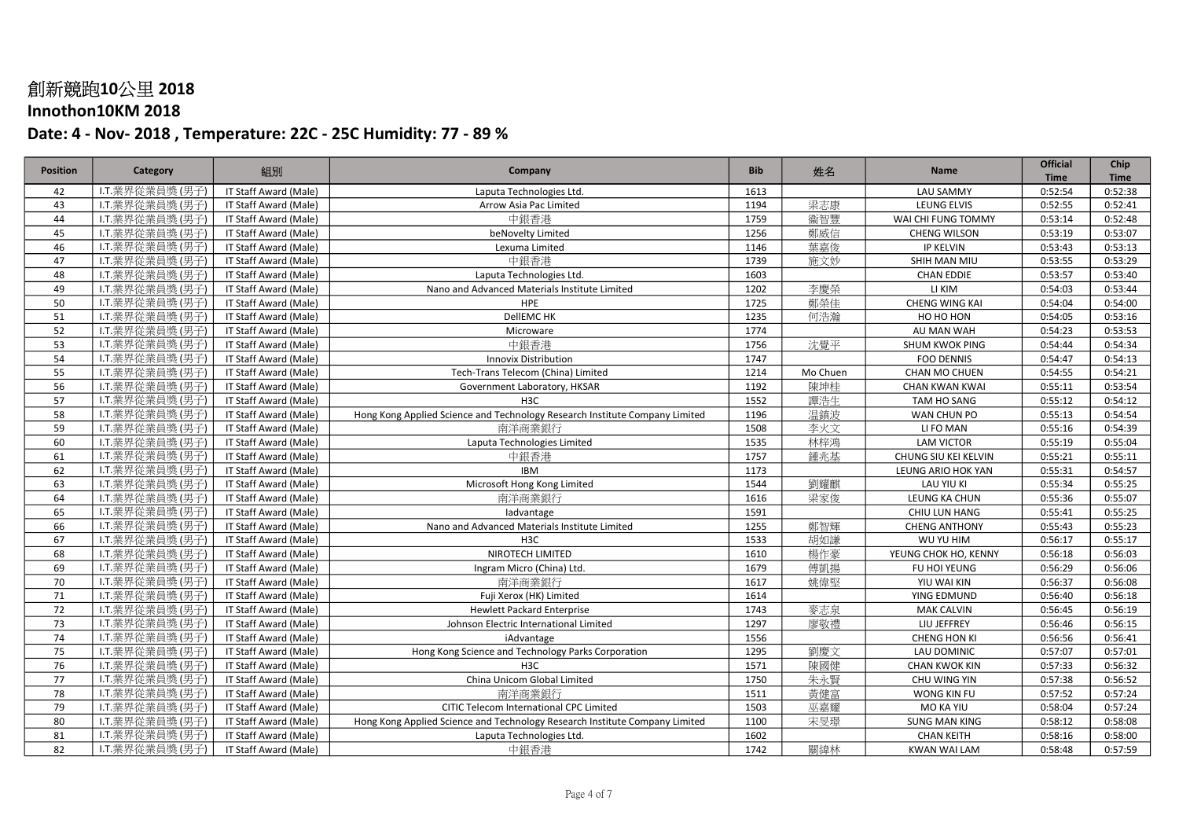## Innothon10KM 2018

| <b>Position</b> | Category        | 組別                           | Company                                                                     | <b>Bib</b> | 姓名       | <b>Name</b>           | <b>Official</b><br><b>Time</b> | Chip<br><b>Time</b> |
|-----------------|-----------------|------------------------------|-----------------------------------------------------------------------------|------------|----------|-----------------------|--------------------------------|---------------------|
| 42              | I.T.業界從業員獎(男子)  | IT Staff Award (Male)        | Laputa Technologies Ltd.                                                    | 1613       |          | <b>LAU SAMMY</b>      | 0:52:54                        | 0:52:38             |
| 43              | I.T.業界從業員獎(男子)  | IT Staff Award (Male)        | Arrow Asia Pac Limited                                                      | 1194       | 梁志康      | LEUNG ELVIS           | 0:52:55                        | 0:52:41             |
| 44              | I.T.業界從業員獎(男子)  | IT Staff Award (Male)        | 中銀香港                                                                        | 1759       | 衞智豐      | WAI CHI FUNG TOMMY    | 0:53:14                        | 0:52:48             |
| 45              | I.T.業界從業員獎(男子)  | IT Staff Award (Male)        | beNovelty Limited                                                           | 1256       | 鄭威信      | <b>CHENG WILSON</b>   | 0:53:19                        | 0:53:07             |
| 46              | I.T.業界從業員獎(男子)  | IT Staff Award (Male)        | Lexuma Limited                                                              | 1146       | 葉嘉俊      | <b>IP KELVIN</b>      | 0:53:43                        | 0:53:13             |
| 47              | I.T.業界從業員獎(男子)  | IT Staff Award (Male)        | 中銀香港                                                                        | 1739       | 施文妙      | SHIH MAN MIU          | 0:53:55                        | 0:53:29             |
| 48              | I.T.業界從業員獎(男子)  | IT Staff Award (Male)        | Laputa Technologies Ltd.                                                    | 1603       |          | <b>CHAN EDDIE</b>     | 0:53:57                        | 0:53:40             |
| 49              | I.T.業界從業員獎(男子)  | IT Staff Award (Male)        | Nano and Advanced Materials Institute Limited                               | 1202       | 李慶榮      | LI KIM                | 0:54:03                        | 0:53:44             |
| 50              | I.T.業界從業員獎(男子)  | IT Staff Award (Male)        | HPE                                                                         | 1725       | 鄭榮佳      | <b>CHENG WING KAI</b> | 0:54:04                        | 0:54:00             |
| 51              | I.T.業界從業員獎(男子)  | IT Staff Award (Male)        | DellEMC HK                                                                  | 1235       | 何浩瀚      | HO HO HON             | 0:54:05                        | 0:53:16             |
| 52              | I.T.業界從業員獎(男子)  | IT Staff Award (Male)        | Microware                                                                   | 1774       |          | AU MAN WAH            | 0:54:23                        | 0:53:53             |
| 53              | I.T.業界從業員獎 (男子) | IT Staff Award (Male)        | 中銀香港                                                                        | 1756       | 沈覺平      | SHUM KWOK PING        | 0:54:44                        | 0:54:34             |
| 54              | I.T.業界從業員獎(男子)  | IT Staff Award (Male)        | <b>Innovix Distribution</b>                                                 | 1747       |          | <b>FOO DENNIS</b>     | 0:54:47                        | 0:54:13             |
| 55              | I.T.業界從業員獎(男子)  | IT Staff Award (Male)        | Tech-Trans Telecom (China) Limited                                          | 1214       | Mo Chuen | CHAN MO CHUEN         | 0:54:55                        | 0:54:21             |
| 56              | I.T.業界從業員獎(男子)  | IT Staff Award (Male)        | Government Laboratory, HKSAR                                                | 1192       | 陳坤桂      | <b>CHAN KWAN KWAI</b> | 0:55:11                        | 0:53:54             |
| 57              | I.T.業界從業員獎(男子)  | IT Staff Award (Male)        | H <sub>3</sub> C                                                            | 1552       | 譚浩生      | TAM HO SANG           | 0:55:12                        | 0:54:12             |
| 58              | I.T.業界從業員獎(男子)  | IT Staff Award (Male)        | Hong Kong Applied Science and Technology Research Institute Company Limited | 1196       | 温鎮波      | WAN CHUN PO           | 0:55:13                        | 0:54:54             |
| 59              | I.T.業界從業員獎(男子)  | <b>IT Staff Award (Male)</b> | 南洋商業銀行                                                                      | 1508       | 李火文      | LI FO MAN             | 0:55:16                        | 0:54:39             |
| 60              | I.T.業界從業員獎(男子)  | IT Staff Award (Male)        | Laputa Technologies Limited                                                 | 1535       | 林梓鴻      | <b>LAM VICTOR</b>     | 0:55:19                        | 0:55:04             |
| 61              | I.T.業界從業員獎(男子)  | IT Staff Award (Male)        | 中銀香港                                                                        | 1757       | 鍾兆基      | CHUNG SIU KEI KELVIN  | 0:55:21                        | 0:55:11             |
| 62              | I.T.業界從業員獎(男子)  | IT Staff Award (Male)        | <b>IBM</b>                                                                  | 1173       |          | LEUNG ARIO HOK YAN    | 0:55:31                        | 0:54:57             |
| 63              | I.T.業界從業員獎(男子)  | IT Staff Award (Male)        | Microsoft Hong Kong Limited                                                 | 1544       | 劉耀麒      | LAU YIU KI            | 0:55:34                        | 0:55:25             |
| 64              | I.T.業界從業員獎(男子)  | IT Staff Award (Male)        | 南洋商業銀行                                                                      | 1616       | 梁家俊      | LEUNG KA CHUN         | 0:55:36                        | 0:55:07             |
| 65              | I.T.業界從業員獎(男子)  | IT Staff Award (Male)        | ladvantage                                                                  | 1591       |          | CHIU LUN HANG         | 0:55:41                        | 0:55:25             |
| 66              | I.T.業界從業員獎(男子)  | IT Staff Award (Male)        | Nano and Advanced Materials Institute Limited                               | 1255       | 鄭智輝      | <b>CHENG ANTHONY</b>  | 0:55:43                        | 0:55:23             |
| 67              | I.T.業界從業員獎(男子)  | IT Staff Award (Male)        | H <sub>3</sub> C                                                            | 1533       | 胡如謙      | WU YU HIM             | 0:56:17                        | 0:55:17             |
| 68              | I.T.業界從業員獎(男子)  | IT Staff Award (Male)        | NIROTECH LIMITED                                                            | 1610       | 楊作豪      | YEUNG CHOK HO, KENNY  | 0:56:18                        | 0:56:03             |
| 69              | I.T.業界從業員獎(男子)  | IT Staff Award (Male)        | Ingram Micro (China) Ltd.                                                   | 1679       | 傅凱揚      | FU HOI YEUNG          | 0:56:29                        | 0:56:06             |
| 70              | I.T.業界從業員獎(男子)  | IT Staff Award (Male)        | 南洋商業銀行                                                                      | 1617       | 姚偉堅      | YIU WAI KIN           | 0:56:37                        | 0:56:08             |
| 71              | I.T.業界從業員獎(男子)  | IT Staff Award (Male)        | Fuji Xerox (HK) Limited                                                     | 1614       |          | YING EDMUND           | 0:56:40                        | 0:56:18             |
| 72              | I.T.業界從業員獎(男子)  | IT Staff Award (Male)        | <b>Hewlett Packard Enterprise</b>                                           | 1743       | 麥志泉      | <b>MAK CALVIN</b>     | 0:56:45                        | 0:56:19             |
| 73              | I.T.業界從業員獎(男子)  | IT Staff Award (Male)        | Johnson Electric International Limited                                      | 1297       | 廖敬禮      | LIU JEFFREY           | 0:56:46                        | 0:56:15             |
| 74              | I.T.業界從業員獎(男子)  | IT Staff Award (Male)        | iAdvantage                                                                  | 1556       |          | <b>CHENG HON KI</b>   | 0:56:56                        | 0:56:41             |
| 75              | I.T.業界從業員獎(男子)  | IT Staff Award (Male)        | Hong Kong Science and Technology Parks Corporation                          | 1295       | 劉慶文      | LAU DOMINIC           | 0:57:07                        | 0:57:01             |
| 76              | I.T.業界從業員獎(男子)  | IT Staff Award (Male)        | H <sub>3</sub> C                                                            | 1571       | 陳國健      | <b>CHAN KWOK KIN</b>  | 0:57:33                        | 0:56:32             |
| 77              | I.T.業界從業員獎(男子)  | IT Staff Award (Male)        | China Unicom Global Limited                                                 | 1750       | 朱永賢      | CHU WING YIN          | 0:57:38                        | 0:56:52             |
| 78              | I.T.業界從業員獎(男子)  | IT Staff Award (Male)        | 南洋商業銀行                                                                      | 1511       | 黃健富      | WONG KIN FU           | 0:57:52                        | 0:57:24             |
| 79              | I.T.業界從業員獎(男子)  | IT Staff Award (Male)        | CITIC Telecom International CPC Limited                                     | 1503       | 巫嘉耀      | MO KA YIU             | 0:58:04                        | 0:57:24             |
| 80              | I.T.業界從業員獎(男子)  | IT Staff Award (Male)        | Hong Kong Applied Science and Technology Research Institute Company Limited | 1100       | 宋旻璟      | <b>SUNG MAN KING</b>  | 0:58:12                        | 0:58:08             |
| 81              | I.T.業界從業員獎(男子)  | IT Staff Award (Male)        | Laputa Technologies Ltd.                                                    | 1602       |          | <b>CHAN KEITH</b>     | 0:58:16                        | 0:58:00             |
| 82              | I.T.業界從業員獎(男子)  | IT Staff Award (Male)        | 中銀香港                                                                        | 1742       | 關緯林      | <b>KWAN WAI LAM</b>   | 0:58:48                        | 0:57:59             |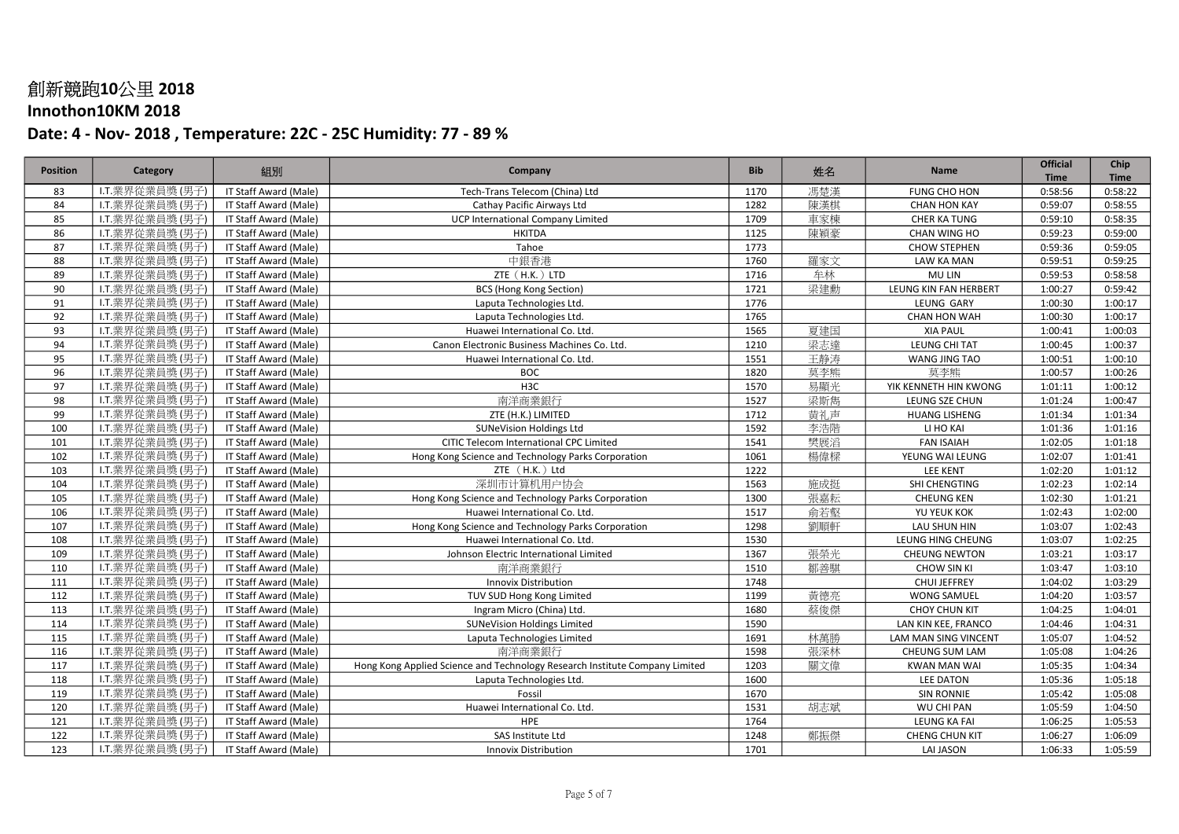## Innothon10KM 2018

| <b>Position</b> | Category        | 組別                    | Company                                                                     | <b>Bib</b> | 姓名  | <b>Name</b>                  | Official<br><b>Time</b> | Chip<br><b>Time</b> |
|-----------------|-----------------|-----------------------|-----------------------------------------------------------------------------|------------|-----|------------------------------|-------------------------|---------------------|
| 83              | I.T.業界從業員獎(男子)  | IT Staff Award (Male) | Tech-Trans Telecom (China) Ltd                                              | 1170       | 馮楚漢 | FUNG CHO HON                 | 0:58:56                 | 0:58:22             |
| 84              | I.T.業界從業員獎(男子)  | IT Staff Award (Male) | Cathay Pacific Airways Ltd                                                  | 1282       | 陳漢棋 | <b>CHAN HON KAY</b>          | 0:59:07                 | 0:58:55             |
| 85              | I.T.業界從業員獎(男子)  | IT Staff Award (Male) | <b>UCP International Company Limited</b>                                    | 1709       | 車家棟 | <b>CHER KA TUNG</b>          | 0:59:10                 | 0:58:35             |
| 86              | I.T.業界從業員獎(男子)  | IT Staff Award (Male) | <b>HKITDA</b>                                                               | 1125       | 陳穎豪 | CHAN WING HO                 | 0:59:23                 | 0:59:00             |
| 87              | I.T.業界從業員獎 (男子) | IT Staff Award (Male) | Tahoe                                                                       | 1773       |     | <b>CHOW STEPHEN</b>          | 0:59:36                 | 0:59:05             |
| 88              | L.T.業界從業員獎 (男子) | IT Staff Award (Male) | 中銀香港                                                                        | 1760       | 羅家文 | LAW KA MAN                   | 0:59:51                 | 0:59:25             |
| 89              | I.T.業界從業員獎(男子)  | IT Staff Award (Male) | ZTE (H.K.) LTD                                                              | 1716       | 牟林  | MU LIN                       | 0:59:53                 | 0:58:58             |
| 90              | I.T.業界從業員獎(男子)  | IT Staff Award (Male) | <b>BCS (Hong Kong Section)</b>                                              | 1721       | 梁建勳 | <b>LEUNG KIN FAN HERBERT</b> | 1:00:27                 | 0:59:42             |
| 91              | I.T.業界從業員獎(男子)  | IT Staff Award (Male) | Laputa Technologies Ltd.                                                    | 1776       |     | LEUNG GARY                   | 1:00:30                 | 1:00:17             |
| 92              | I.T.業界從業員獎(男子)  | IT Staff Award (Male) | Laputa Technologies Ltd.                                                    | 1765       |     | <b>CHAN HON WAH</b>          | 1:00:30                 | 1:00:17             |
| 93              | I.T.業界從業員獎(男子)  | IT Staff Award (Male) | Huawei International Co. Ltd.                                               | 1565       | 夏建国 | <b>XIA PAUL</b>              | 1:00:41                 | 1:00:03             |
| 94              | I.T.業界從業員獎(男子)  | IT Staff Award (Male) | Canon Electronic Business Machines Co. Ltd.                                 | 1210       | 梁志達 | LEUNG CHI TAT                | 1:00:45                 | 1:00:37             |
| 95              | I.T.業界從業員獎(男子)  | IT Staff Award (Male) | Huawei International Co. Ltd.                                               | 1551       | 王静涛 | WANG JING TAO                | 1:00:51                 | 1:00:10             |
| 96              | I.T.業界從業員獎(男子)  | IT Staff Award (Male) | <b>BOC</b>                                                                  | 1820       | 莫李熊 | 莫李熊                          | 1:00:57                 | 1:00:26             |
| 97              | I.T.業界從業員獎(男子)  | IT Staff Award (Male) | H <sub>3</sub> C                                                            | 1570       | 易顯光 | YIK KENNETH HIN KWONG        | 1:01:11                 | 1:00:12             |
| 98              | I.T.業界從業員獎(男子)  | IT Staff Award (Male) | 南洋商業銀行                                                                      | 1527       | 梁斯雋 | LEUNG SZE CHUN               | 1:01:24                 | 1:00:47             |
| 99              | I.T.業界從業員獎(男子)  | IT Staff Award (Male) | ZTE (H.K.) LIMITED                                                          | 1712       | 黄礼声 | <b>HUANG LISHENG</b>         | 1:01:34                 | 1:01:34             |
| 100             | I.T.業界從業員獎(男子)  | IT Staff Award (Male) | <b>SUNeVision Holdings Ltd</b>                                              | 1592       | 李浩階 | LI HO KAI                    | 1:01:36                 | 1:01:16             |
| 101             | I.T.業界從業員獎(男子)  | IT Staff Award (Male) | CITIC Telecom International CPC Limited                                     | 1541       | 樊展滔 | <b>FAN ISAIAH</b>            | 1:02:05                 | 1:01:18             |
| 102             | I.T.業界從業員獎(男子)  | IT Staff Award (Male) | Hong Kong Science and Technology Parks Corporation                          | 1061       | 楊偉樑 | YEUNG WAI LEUNG              | 1:02:07                 | 1:01:41             |
| 103             | I.T.業界從業員獎(男子)  | IT Staff Award (Male) | ZTE (H.K.) Ltd                                                              | 1222       |     | <b>LEE KENT</b>              | 1:02:20                 | 1:01:12             |
| 104             | I.T.業界從業員獎(男子)  | IT Staff Award (Male) | 深圳市计算机用户协会                                                                  | 1563       | 施成挺 | SHI CHENGTING                | 1:02:23                 | 1:02:14             |
| 105             | I.T.業界從業員獎(男子)  | IT Staff Award (Male) | Hong Kong Science and Technology Parks Corporation                          | 1300       | 張嘉耘 | <b>CHEUNG KEN</b>            | 1:02:30                 | 1:01:21             |
| 106             | I.T.業界從業員獎(男子)  | IT Staff Award (Male) | Huawei International Co. Ltd.                                               | 1517       | 俞若壑 | YU YEUK KOK                  | 1:02:43                 | 1:02:00             |
| 107             | I.T.業界從業員獎(男子)  | IT Staff Award (Male) | Hong Kong Science and Technology Parks Corporation                          | 1298       | 劉順軒 | LAU SHUN HIN                 | 1:03:07                 | 1:02:43             |
| 108             | I.T.業界從業員獎(男子)  | IT Staff Award (Male) | Huawei International Co. Ltd.                                               | 1530       |     | LEUNG HING CHEUNG            | 1:03:07                 | 1:02:25             |
| 109             | I.T.業界從業員獎(男子)  | IT Staff Award (Male) | Johnson Electric International Limited                                      | 1367       | 張榮光 | <b>CHEUNG NEWTON</b>         | 1:03:21                 | 1:03:17             |
| 110             | I.T.業界從業員獎(男子)  | IT Staff Award (Male) | 南洋商業銀行                                                                      | 1510       | 鄒善騏 | <b>CHOW SIN KI</b>           | 1:03:47                 | 1:03:10             |
| 111             | I.T.業界從業員獎(男子)  | IT Staff Award (Male) | <b>Innovix Distribution</b>                                                 | 1748       |     | <b>CHUI JEFFREY</b>          | 1:04:02                 | 1:03:29             |
| 112             | I.T.業界從業員獎(男子)  | IT Staff Award (Male) | TUV SUD Hong Kong Limited                                                   | 1199       | 黃德亮 | WONG SAMUEL                  | 1:04:20                 | 1:03:57             |
| 113             | I.T.業界從業員獎(男子)  | IT Staff Award (Male) | Ingram Micro (China) Ltd.                                                   | 1680       | 蔡俊傑 | <b>CHOY CHUN KIT</b>         | 1:04:25                 | 1:04:01             |
| 114             | I.T.業界從業員獎(男子)  | IT Staff Award (Male) | <b>SUNeVision Holdings Limited</b>                                          | 1590       |     | LAN KIN KEE, FRANCO          | 1:04:46                 | 1:04:31             |
| 115             | L.T.業界從業員獎 (男子) | IT Staff Award (Male) | Laputa Technologies Limited                                                 | 1691       | 林萬勝 | LAM MAN SING VINCENT         | 1:05:07                 | 1:04:52             |
| 116             | I.T.業界從業員獎(男子)  | IT Staff Award (Male) | 南洋商業銀行                                                                      | 1598       | 張深林 | CHEUNG SUM LAM               | 1:05:08                 | 1:04:26             |
| 117             | I.T.業界從業員獎(男子)  | IT Staff Award (Male) | Hong Kong Applied Science and Technology Research Institute Company Limited | 1203       | 關文偉 | <b>KWAN MAN WAI</b>          | 1:05:35                 | 1:04:34             |
| 118             | I.T.業界從業員獎(男子)  | IT Staff Award (Male) | Laputa Technologies Ltd.                                                    | 1600       |     | LEE DATON                    | 1:05:36                 | 1:05:18             |
| 119             | L.T.業界從業員獎 (男子) | IT Staff Award (Male) | Fossil                                                                      | 1670       |     | <b>SIN RONNIE</b>            | 1:05:42                 | 1:05:08             |
| 120             | I.T.業界從業員獎 (男子) | IT Staff Award (Male) | Huawei International Co. Ltd.                                               | 1531       | 胡志斌 | WU CHI PAN                   | 1:05:59                 | 1:04:50             |
| 121             | I.T.業界從業員獎(男子)  | IT Staff Award (Male) | HPE                                                                         | 1764       |     | <b>LEUNG KA FAI</b>          | 1:06:25                 | 1:05:53             |
| 122             | I.T.業界從業員獎(男子)  | IT Staff Award (Male) | SAS Institute Ltd                                                           | 1248       | 鄭振傑 | <b>CHENG CHUN KIT</b>        | 1:06:27                 | 1:06:09             |
| 123             | I.T.業界從業員獎 (男子) | IT Staff Award (Male) | <b>Innovix Distribution</b>                                                 | 1701       |     | <b>LAI JASON</b>             | 1:06:33                 | 1:05:59             |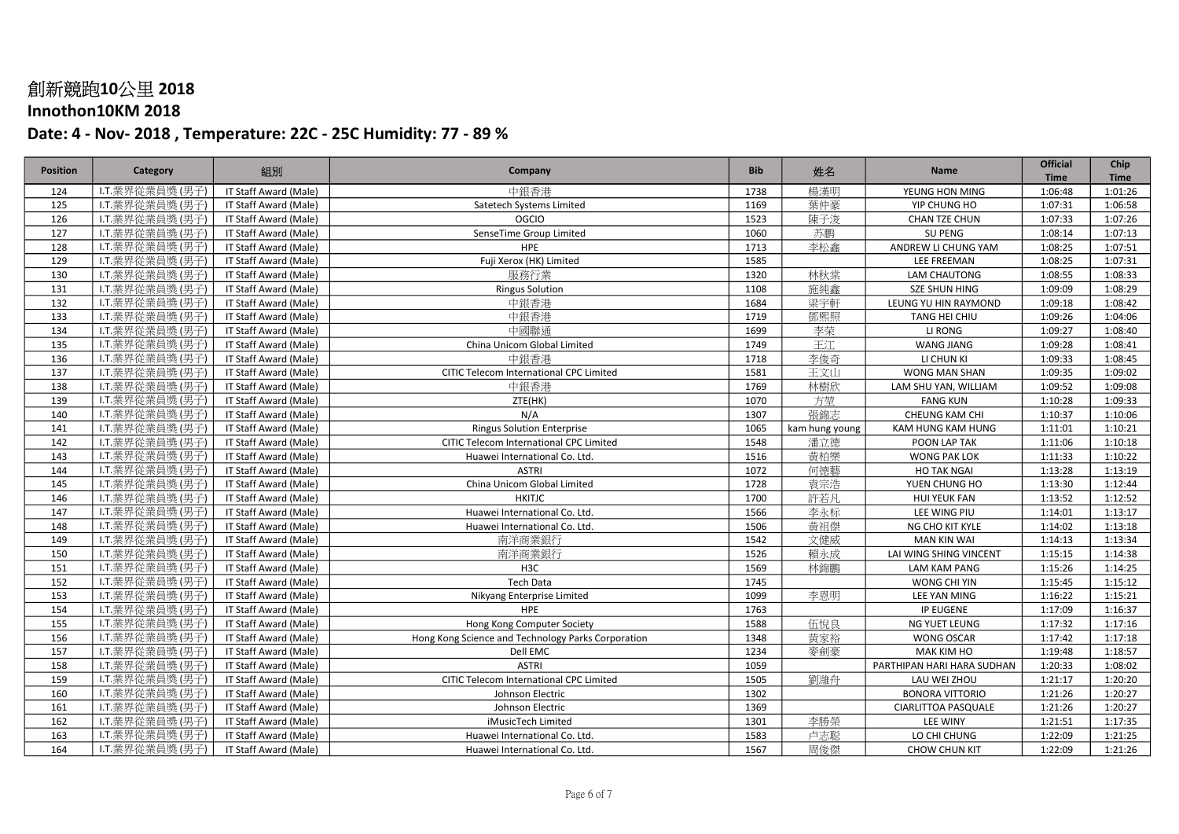## Innothon10KM 2018

| <b>Position</b> | Category        | 組別                    | Company                                            | <b>Bib</b> | 姓名             | <b>Name</b>                | <b>Official</b>        | Chip                   |
|-----------------|-----------------|-----------------------|----------------------------------------------------|------------|----------------|----------------------------|------------------------|------------------------|
| 124             | I.T.業界從業員獎(男子)  | IT Staff Award (Male) | 中銀香港                                               | 1738       | 楊漢明            | YEUNG HON MING             | <b>Time</b><br>1:06:48 | <b>Time</b><br>1:01:26 |
| 125             | I.T.業界從業員獎(男子)  | IT Staff Award (Male) | Satetech Systems Limited                           | 1169       | 葉仲豪            | YIP CHUNG HO               | 1:07:31                | 1:06:58                |
| 126             | I.T.業界從業員獎(男子)  | IT Staff Award (Male) | <b>OGCIO</b>                                       | 1523       | 陳子浚            | CHAN TZE CHUN              | 1:07:33                | 1:07:26                |
| 127             | I.T.業界從業員獎(男子)  | IT Staff Award (Male) | SenseTime Group Limited                            | 1060       | 苏鹏             | <b>SU PENG</b>             | 1:08:14                | 1:07:13                |
| 128             | I.T.業界從業員獎(男子)  | IT Staff Award (Male) | <b>HPE</b>                                         | 1713       | 李松鑫            | ANDREW LI CHUNG YAM        | 1:08:25                | 1:07:51                |
| 129             | L.T.業界從業員獎 (男子) | IT Staff Award (Male) | Fuji Xerox (HK) Limited                            | 1585       |                | LEE FREEMAN                |                        | 1:07:31                |
|                 |                 |                       |                                                    |            |                |                            | 1:08:25                | 1:08:33                |
| 130             | I.T.業界從業員獎(男子)  | IT Staff Award (Male) | 服務行業                                               | 1320       | 林秋棠            | LAM CHAUTONG               | 1:08:55                |                        |
| 131             | I.T.業界從業員獎(男子)  | IT Staff Award (Male) | <b>Ringus Solution</b>                             | 1108       | 施純鑫            | <b>SZE SHUN HING</b>       | 1:09:09                | 1:08:29                |
| 132             | I.T.業界從業員獎(男子)  | IT Staff Award (Male) | 中銀香港                                               | 1684       | 梁宇軒            | LEUNG YU HIN RAYMOND       | 1:09:18                | 1:08:42                |
| 133             | I.T.業界從業員獎 (男子) | IT Staff Award (Male) | 中銀香港                                               | 1719       | 鄧熙照            | TANG HEI CHIU              | 1:09:26                | 1:04:06                |
| 134             | I.T.業界從業員獎(男子)  | IT Staff Award (Male) | 中國聯通                                               | 1699       | 李荣             | LI RONG                    | 1:09:27                | 1:08:40                |
| 135             | L.T.業界從業員獎(男子)  | IT Staff Award (Male) | China Unicom Global Limited                        | 1749       | 王江             | <b>WANG JIANG</b>          | 1:09:28                | 1:08:41                |
| 136             | I.T.業界從業員獎(男子)  | IT Staff Award (Male) | 中銀香港                                               | 1718       | 李俊奇            | LI CHUN KI                 | 1:09:33                | 1:08:45                |
| 137             | I.T.業界從業員獎(男子)  | IT Staff Award (Male) | CITIC Telecom International CPC Limited            | 1581       | 王文山            | WONG MAN SHAN              | 1:09:35                | 1:09:02                |
| 138             | I.T.業界從業員獎(男子)  | IT Staff Award (Male) | 中銀香港                                               | 1769       | 林樹欣            | LAM SHU YAN, WILLIAM       | 1:09:52                | 1:09:08                |
| 139             | I.T.業界從業員獎(男子)  | IT Staff Award (Male) | ZTE(HK)                                            | 1070       | 方堃             | <b>FANG KUN</b>            | 1:10:28                | 1:09:33                |
| 140             | I.T.業界從業員獎(男子)  | IT Staff Award (Male) | N/A                                                | 1307       | 張錦志            | CHEUNG KAM CHI             | 1:10:37                | 1:10:06                |
| 141             | I.T.業界從業員獎(男子)  | IT Staff Award (Male) | <b>Ringus Solution Enterprise</b>                  | 1065       | kam hung young | KAM HUNG KAM HUNG          | 1:11:01                | 1:10:21                |
| 142             | I.T.業界從業員獎(男子)  | IT Staff Award (Male) | CITIC Telecom International CPC Limited            | 1548       | 潘立德            | POON LAP TAK               | 1:11:06                | 1:10:18                |
| 143             | I.T.業界從業員獎(男子)  | IT Staff Award (Male) | Huawei International Co. Ltd.                      | 1516       | 黃柏樂            | <b>WONG PAK LOK</b>        | 1:11:33                | 1:10:22                |
| 144             | I.T.業界從業員獎(男子)  | IT Staff Award (Male) | <b>ASTRI</b>                                       | 1072       | 何德藝            | <b>HO TAK NGAI</b>         | 1:13:28                | 1:13:19                |
| 145             | I.T.業界從業員獎(男子)  | IT Staff Award (Male) | China Unicom Global Limited                        | 1728       | 袁宗浩            | YUEN CHUNG HO              | 1:13:30                | 1:12:44                |
| 146             | I.T.業界從業員獎(男子)  | IT Staff Award (Male) | <b>HKITJC</b>                                      | 1700       | 許若凡            | <b>HUI YEUK FAN</b>        | 1:13:52                | 1:12:52                |
| 147             | I.T.業界從業員獎(男子)  | IT Staff Award (Male) | Huawei International Co. Ltd.                      | 1566       | 李永标            | LEE WING PIU               | 1:14:01                | 1:13:17                |
| 148             | I.T.業界從業員獎(男子)  | IT Staff Award (Male) | Huawei International Co. Ltd.                      | 1506       | 黃祖傑            | NG CHO KIT KYLE            | 1:14:02                | 1:13:18                |
| 149             | I.T.業界從業員獎(男子)  | IT Staff Award (Male) | 南洋商業銀行                                             | 1542       | 文健威            | <b>MAN KIN WAI</b>         | 1:14:13                | 1:13:34                |
| 150             | I.T.業界從業員獎(男子)  | IT Staff Award (Male) | 南洋商業銀行                                             | 1526       | 賴永成            | LAI WING SHING VINCENT     | 1:15:15                | 1:14:38                |
| 151             | I.T.業界從業員獎(男子)  | IT Staff Award (Male) | H <sub>3</sub> C                                   | 1569       | 林錦鵬            | <b>LAM KAM PANG</b>        | 1:15:26                | 1:14:25                |
| 152             | L.T.業界從業員獎 (男子) | IT Staff Award (Male) | <b>Tech Data</b>                                   | 1745       |                | WONG CHI YIN               | 1:15:45                | 1:15:12                |
| 153             | I.T.業界從業員獎(男子)  | IT Staff Award (Male) | Nikyang Enterprise Limited                         | 1099       | 李恩明            | LEE YAN MING               | 1:16:22                | 1:15:21                |
| 154             | I.T.業界從業員獎(男子)  | IT Staff Award (Male) | HPE                                                | 1763       |                | IP EUGENE                  | 1:17:09                | 1:16:37                |
| 155             | I.T.業界從業員獎(男子)  | IT Staff Award (Male) | Hong Kong Computer Society                         | 1588       | 伍悅良            | NG YUET LEUNG              | 1:17:32                | 1:17:16                |
| 156             | L.T.業界從業員獎 (男子) | IT Staff Award (Male) | Hong Kong Science and Technology Parks Corporation | 1348       | 黄家裕            | <b>WONG OSCAR</b>          | 1:17:42                | 1:17:18                |
| 157             | I.T.業界從業員獎(男子)  | IT Staff Award (Male) | Dell EMC                                           | 1234       | 麥劍豪            | MAK KIM HO                 | 1:19:48                | 1:18:57                |
| 158             | I.T.業界從業員獎(男子)  | IT Staff Award (Male) | <b>ASTRI</b>                                       | 1059       |                | PARTHIPAN HARI HARA SUDHAN | 1:20:33                | 1:08:02                |
| 159             | I.T.業界從業員獎(男子)  | IT Staff Award (Male) | CITIC Telecom International CPC Limited            | 1505       | 劉濰舟            | LAU WEI ZHOU               | 1:21:17                | 1:20:20                |
| 160             | L.T.業界從業員獎 (男子) | IT Staff Award (Male) | Johnson Electric                                   | 1302       |                | <b>BONORA VITTORIO</b>     | 1:21:26                | 1:20:27                |
| 161             | I.T.業界從業員獎(男子)  | IT Staff Award (Male) | Johnson Electric                                   | 1369       |                | <b>CIARLITTOA PASQUALE</b> | 1:21:26                | 1:20:27                |
| 162             | I.T.業界從業員獎(男子)  | IT Staff Award (Male) | iMusicTech Limited                                 | 1301       | 李勝榮            | <b>LEE WINY</b>            | 1:21:51                | 1:17:35                |
| 163             | I.T.業界從業員獎(男子)  | IT Staff Award (Male) | Huawei International Co. Ltd.                      | 1583       | 卢志聪            | LO CHI CHUNG               | 1:22:09                | 1:21:25                |
| 164             | I.T.業界從業員獎 (男子) | IT Staff Award (Male) | Huawei International Co. Ltd.                      | 1567       | 周俊傑            | <b>CHOW CHUN KIT</b>       | 1:22:09                | 1:21:26                |
|                 |                 |                       |                                                    |            |                |                            |                        |                        |